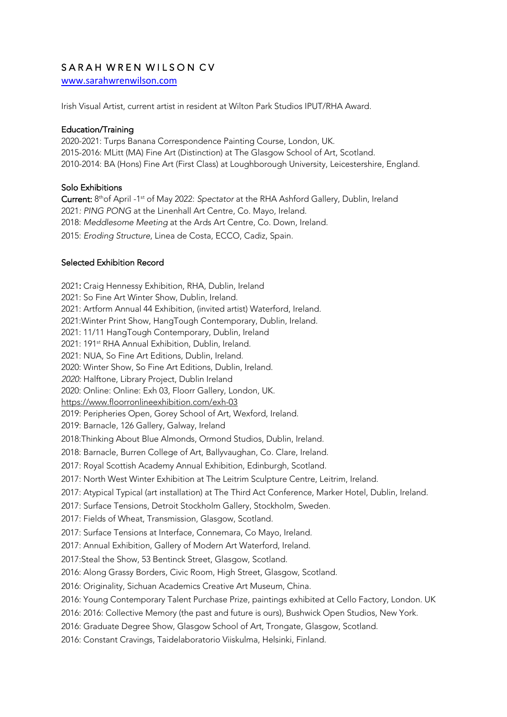# SARAH WREN WILSON CV

www.sarahwrenwilson.com

Irish Visual Artist, current artist in resident at Wilton Park Studios IPUT/RHA Award.

### Education/Training

2020-2021: Turps Banana Correspondence Painting Course, London, UK. 2015-2016: MLitt (MA) Fine Art (Distinction) at The Glasgow School of Art, Scotland. 2010-2014: BA (Hons) Fine Art (First Class) at Loughborough University, Leicestershire, England.

### Solo Exhibitions

Current: 8thof April -1st of May 2022: *Spectator* at the RHA Ashford Gallery, Dublin, Ireland 2021*: PING PONG* at the Linenhall Art Centre, Co. Mayo, Ireland. 2018: *Meddlesome Meeting* at the Ards Art Centre, Co. Down, Ireland. 2015: *Eroding Structure*, Linea de Costa, ECCO, Cadiz, Spain.

### Selected Exhibition Record

2021: Craig Hennessy Exhibition, RHA, Dublin, Ireland 2021: So Fine Art Winter Show, Dublin, Ireland. 2021: Artform Annual 44 Exhibition, (invited artist) Waterford, Ireland. 2021:Winter Print Show, HangTough Contemporary, Dublin, Ireland. 2021: 11/11 HangTough Contemporary, Dublin, Ireland 2021: 191<sup>st</sup> RHA Annual Exhibition, Dublin, Ireland. 2021: NUA, So Fine Art Editions, Dublin, Ireland. 2020: Winter Show, So Fine Art Editions, Dublin, Ireland. *2020:* Halftone, Library Project, Dublin Ireland 2020: Online: Online: Exh 03, Floorr Gallery, London, UK. https://www.floorronlineexhibition.com/exh-03 2019: Peripheries Open, Gorey School of Art, Wexford, Ireland. 2019: Barnacle, 126 Gallery, Galway, Ireland 2018:Thinking About Blue Almonds, Ormond Studios, Dublin, Ireland. 2018: Barnacle, Burren College of Art, Ballyvaughan, Co. Clare, Ireland. 2017: Royal Scottish Academy Annual Exhibition, Edinburgh, Scotland. 2017: North West Winter Exhibition at The Leitrim Sculpture Centre, Leitrim, Ireland. 2017: Atypical Typical (art installation) at The Third Act Conference, Marker Hotel, Dublin, Ireland. 2017: Surface Tensions, Detroit Stockholm Gallery, Stockholm, Sweden. 2017: Fields of Wheat, Transmission, Glasgow, Scotland. 2017: Surface Tensions at Interface, Connemara, Co Mayo, Ireland. 2017: Annual Exhibition, Gallery of Modern Art Waterford, Ireland. 2017:Steal the Show, 53 Bentinck Street, Glasgow, Scotland. 2016: Along Grassy Borders, Civic Room, High Street, Glasgow, Scotland. 2016: Originality, Sichuan Academics Creative Art Museum, China. 2016: Young Contemporary Talent Purchase Prize, paintings exhibited at Cello Factory, London. UK 2016: 2016: Collective Memory (the past and future is ours), Bushwick Open Studios, New York. 2016: Graduate Degree Show, Glasgow School of Art, Trongate, Glasgow, Scotland. 2016: Constant Cravings, Taidelaboratorio Viiskulma, Helsinki, Finland.